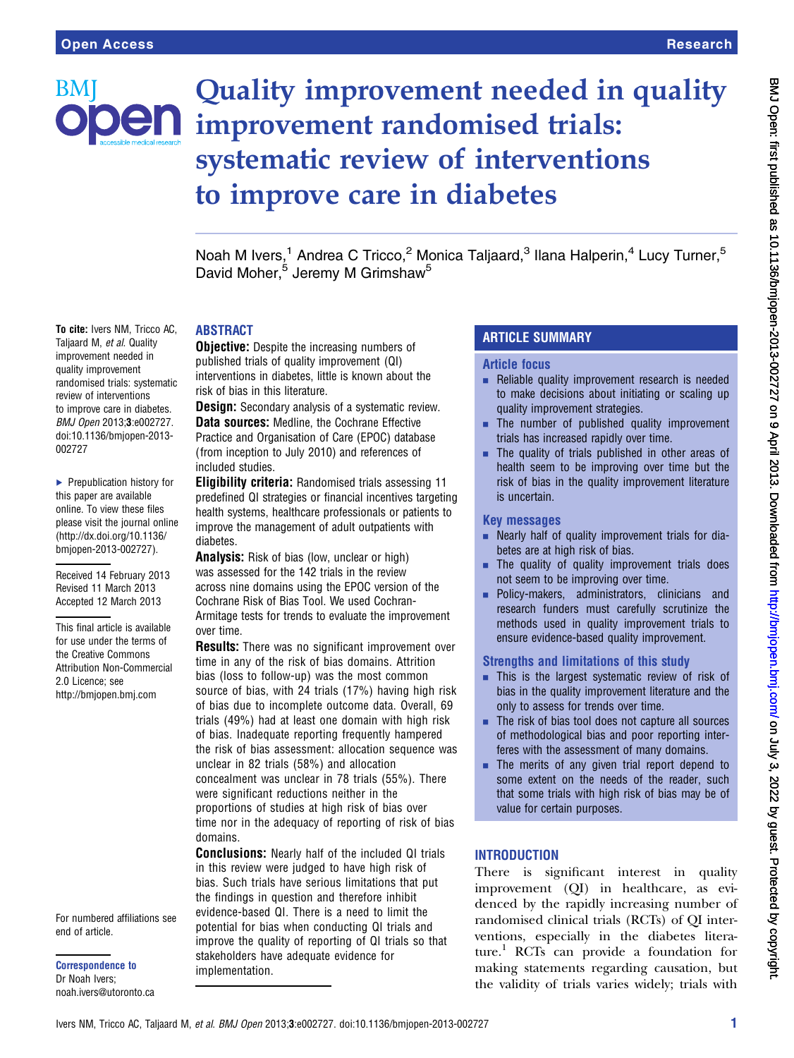**BM** 

# Quality improvement needed in quality **Jen** improvement randomised trials: systematic review of interventions to improve care in diabetes

Noah M Ivers,<sup>1</sup> Andrea C Tricco,<sup>2</sup> Monica Taljaard,<sup>3</sup> Ilana Halperin,<sup>4</sup> Lucy Turner,<sup>5</sup> David Moher,<sup>5</sup> Jeremy M Grimshaw<sup>5</sup>

#### To cite: Ivers NM, Tricco AC, Taljaard M, et al. Quality improvement needed in quality improvement randomised trials: systematic review of interventions to improve care in diabetes. BMJ Open 2013;3:e002727. doi:10.1136/bmjopen-2013- 002727

▶ Prepublication history for this paper are available online. To view these files please visit the journal online [\(http://dx.doi.org/10.1136/](http://dx.doi.org/10.1136/bmjopen-2013-002727) [bmjopen-2013-002727](http://dx.doi.org/10.1136/bmjopen-2013-002727)).

Received 14 February 2013 Revised 11 March 2013 Accepted 12 March 2013

This final article is available for use under the terms of the Creative Commons Attribution Non-Commercial 2.0 Licence; see <http://bmjopen.bmj.com>

For numbered affiliations see end of article.

Correspondence to Dr Noah Ivers; noah.ivers@utoronto.ca

## ABSTRACT

**Objective:** Despite the increasing numbers of published trials of quality improvement (QI) interventions in diabetes, little is known about the risk of bias in this literature.

**Design:** Secondary analysis of a systematic review. **Data sources:** Medline, the Cochrane Effective Practice and Organisation of Care (EPOC) database (from inception to July 2010) and references of included studies.

Eligibility criteria: Randomised trials assessing 11 predefined QI strategies or financial incentives targeting health systems, healthcare professionals or patients to improve the management of adult outpatients with diabetes.

Analysis: Risk of bias (low, unclear or high) was assessed for the 142 trials in the review across nine domains using the EPOC version of the Cochrane Risk of Bias Tool. We used Cochran-Armitage tests for trends to evaluate the improvement over time.

**Results:** There was no significant improvement over time in any of the risk of bias domains. Attrition bias (loss to follow-up) was the most common source of bias, with 24 trials (17%) having high risk of bias due to incomplete outcome data. Overall, 69 trials (49%) had at least one domain with high risk of bias. Inadequate reporting frequently hampered the risk of bias assessment: allocation sequence was unclear in 82 trials (58%) and allocation concealment was unclear in 78 trials (55%). There were significant reductions neither in the proportions of studies at high risk of bias over time nor in the adequacy of reporting of risk of bias domains.

Conclusions: Nearly half of the included QI trials in this review were judged to have high risk of bias. Such trials have serious limitations that put the findings in question and therefore inhibit evidence-based QI. There is a need to limit the potential for bias when conducting QI trials and improve the quality of reporting of QI trials so that stakeholders have adequate evidence for implementation.

## ARTICLE SUMMARY

## Article focus

- $\blacksquare$  Reliable quality improvement research is needed to make decisions about initiating or scaling up quality improvement strategies.
- $\blacksquare$  The number of published quality improvement trials has increased rapidly over time.
- $\blacksquare$  The quality of trials published in other areas of health seem to be improving over time but the risk of bias in the quality improvement literature is uncertain.

## Key messages

- **E** Nearly half of quality improvement trials for diabetes are at high risk of bias.
- $\blacksquare$  The quality of quality improvement trials does not seem to be improving over time.
- **•** Policy-makers, administrators, clinicians and research funders must carefully scrutinize the methods used in quality improvement trials to ensure evidence-based quality improvement.

#### Strengths and limitations of this study

- $\blacksquare$  This is the largest systematic review of risk of bias in the quality improvement literature and the only to assess for trends over time.
- $\blacksquare$  The risk of bias tool does not capture all sources of methodological bias and poor reporting interferes with the assessment of many domains.
- $\blacksquare$  The merits of any given trial report depend to some extent on the needs of the reader, such that some trials with high risk of bias may be of value for certain purposes.

## **INTRODUCTION**

There is significant interest in quality improvement (QI) in healthcare, as evidenced by the rapidly increasing number of randomised clinical trials (RCTs) of QI interventions, especially in the diabetes literature.<sup>1</sup> RCTs can provide a foundation for making statements regarding causation, but the validity of trials varies widely; trials with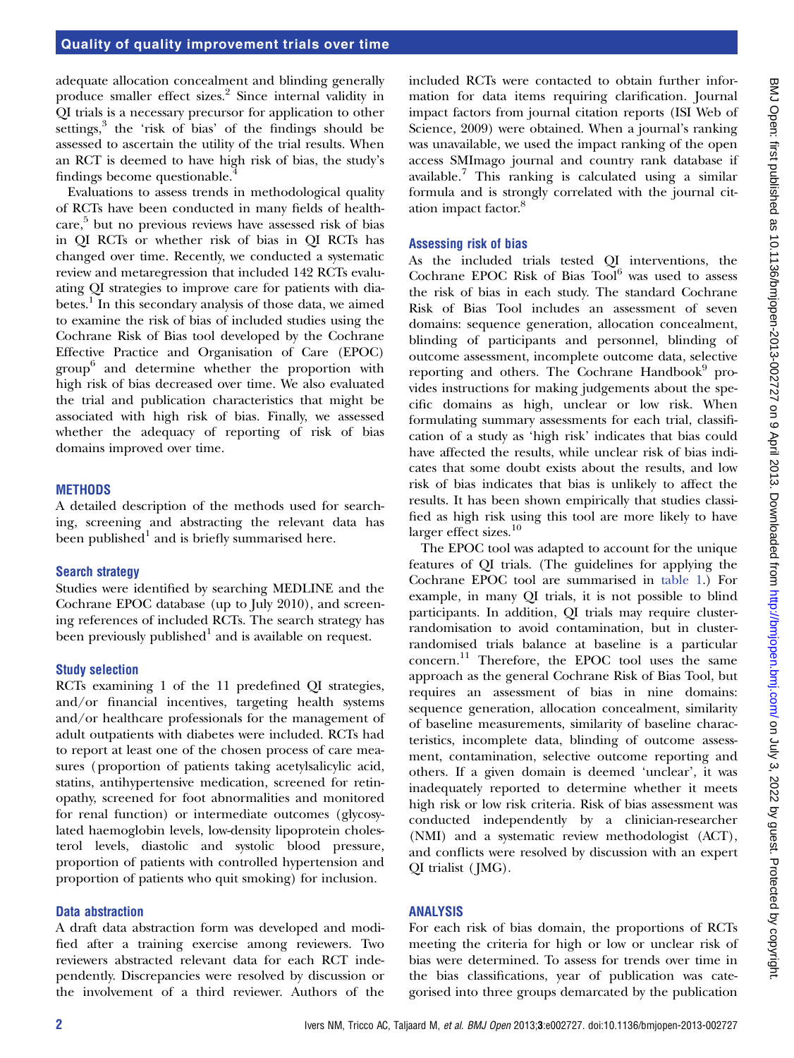adequate allocation concealment and blinding generally produce smaller effect sizes.<sup>2</sup> Since internal validity in QI trials is a necessary precursor for application to other settings,<sup>3</sup> the 'risk of bias' of the findings should be assessed to ascertain the utility of the trial results. When an RCT is deemed to have high risk of bias, the study's findings become questionable.4

Evaluations to assess trends in methodological quality of RCTs have been conducted in many fields of healthcare,<sup>5</sup> but no previous reviews have assessed risk of bias in QI RCTs or whether risk of bias in QI RCTs has changed over time. Recently, we conducted a systematic review and metaregression that included 142 RCTs evaluating QI strategies to improve care for patients with diabetes.<sup>1</sup> In this secondary analysis of those data, we aimed to examine the risk of bias of included studies using the Cochrane Risk of Bias tool developed by the Cochrane Effective Practice and Organisation of Care (EPOC) group<sup>6</sup> and determine whether the proportion with high risk of bias decreased over time. We also evaluated the trial and publication characteristics that might be associated with high risk of bias. Finally, we assessed whether the adequacy of reporting of risk of bias domains improved over time.

#### **METHODS**

A detailed description of the methods used for searching, screening and abstracting the relevant data has been published<sup>1</sup> and is briefly summarised here.

## Search strategy

Studies were identified by searching MEDLINE and the Cochrane EPOC database (up to July 2010), and screening references of included RCTs. The search strategy has been previously published<sup>1</sup> and is available on request.

#### Study selection

RCTs examining 1 of the 11 predefined QI strategies, and/or financial incentives, targeting health systems and/or healthcare professionals for the management of adult outpatients with diabetes were included. RCTs had to report at least one of the chosen process of care measures (proportion of patients taking acetylsalicylic acid, statins, antihypertensive medication, screened for retinopathy, screened for foot abnormalities and monitored for renal function) or intermediate outcomes (glycosylated haemoglobin levels, low-density lipoprotein cholesterol levels, diastolic and systolic blood pressure, proportion of patients with controlled hypertension and proportion of patients who quit smoking) for inclusion.

#### Data abstraction

A draft data abstraction form was developed and modified after a training exercise among reviewers. Two reviewers abstracted relevant data for each RCT independently. Discrepancies were resolved by discussion or the involvement of a third reviewer. Authors of the

included RCTs were contacted to obtain further information for data items requiring clarification. Journal impact factors from journal citation reports (ISI Web of Science, 2009) were obtained. When a journal's ranking was unavailable, we used the impact ranking of the open access SMImago journal and country rank database if available.<sup>7</sup> This ranking is calculated using a similar formula and is strongly correlated with the journal citation impact factor.8

#### Assessing risk of bias

As the included trials tested QI interventions, the Cochrane EPOC Risk of Bias Tool<sup>6</sup> was used to assess the risk of bias in each study. The standard Cochrane Risk of Bias Tool includes an assessment of seven domains: sequence generation, allocation concealment, blinding of participants and personnel, blinding of outcome assessment, incomplete outcome data, selective reporting and others. The Cochrane Handbook $9$  provides instructions for making judgements about the specific domains as high, unclear or low risk. When formulating summary assessments for each trial, classification of a study as 'high risk' indicates that bias could have affected the results, while unclear risk of bias indicates that some doubt exists about the results, and low risk of bias indicates that bias is unlikely to affect the results. It has been shown empirically that studies classified as high risk using this tool are more likely to have larger effect sizes.<sup>10</sup>

The EPOC tool was adapted to account for the unique features of QI trials. (The guidelines for applying the Cochrane EPOC tool are summarised in table 1.) For example, in many QI trials, it is not possible to blind participants. In addition, QI trials may require clusterrandomisation to avoid contamination, but in clusterrandomised trials balance at baseline is a particular concern.<sup>11</sup> Therefore, the EPOC tool uses the same approach as the general Cochrane Risk of Bias Tool, but requires an assessment of bias in nine domains: sequence generation, allocation concealment, similarity of baseline measurements, similarity of baseline characteristics, incomplete data, blinding of outcome assessment, contamination, selective outcome reporting and others. If a given domain is deemed 'unclear', it was inadequately reported to determine whether it meets high risk or low risk criteria. Risk of bias assessment was conducted independently by a clinician-researcher (NMI) and a systematic review methodologist (ACT), and conflicts were resolved by discussion with an expert QI trialist ( JMG).

## ANALYSIS

For each risk of bias domain, the proportions of RCTs meeting the criteria for high or low or unclear risk of bias were determined. To assess for trends over time in the bias classifications, year of publication was categorised into three groups demarcated by the publication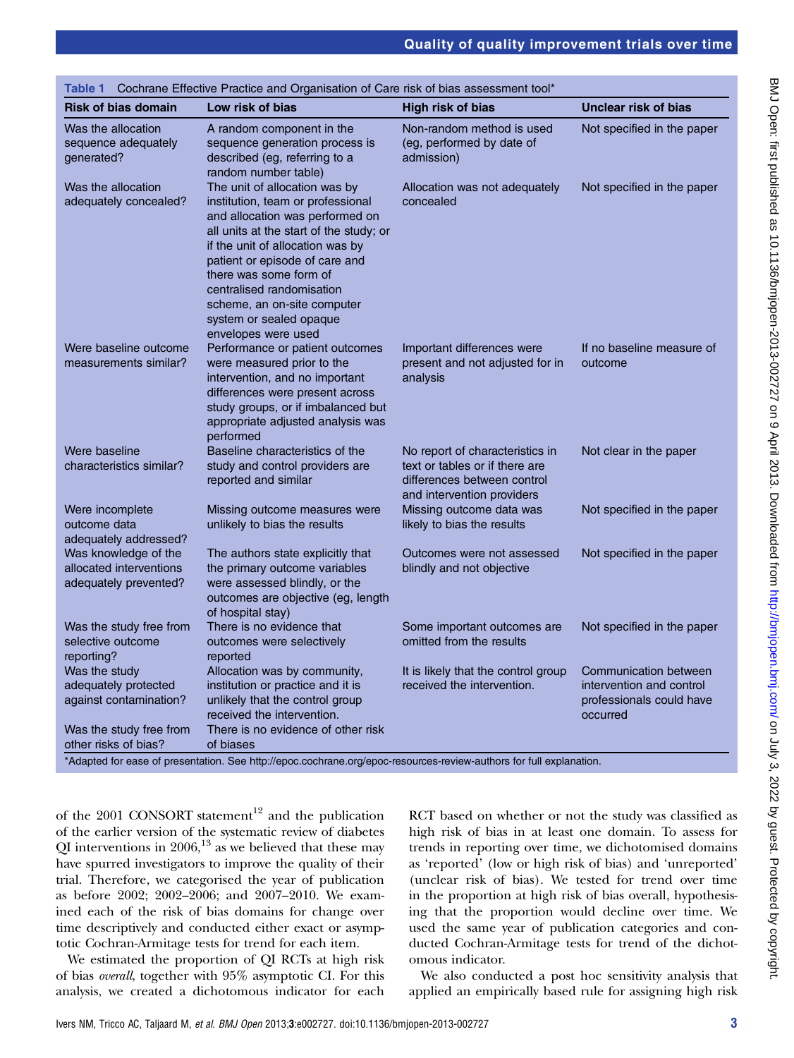| <b>Unclear risk of bias</b><br><b>Risk of bias domain</b><br>Low risk of bias<br><b>High risk of bias</b><br>Was the allocation<br>Non-random method is used<br>A random component in the<br>Not specified in the paper<br>sequence adequately<br>sequence generation process is<br>(eg, performed by date of<br>generated?<br>described (eg, referring to a<br>admission)                                                                                                                |
|-------------------------------------------------------------------------------------------------------------------------------------------------------------------------------------------------------------------------------------------------------------------------------------------------------------------------------------------------------------------------------------------------------------------------------------------------------------------------------------------|
|                                                                                                                                                                                                                                                                                                                                                                                                                                                                                           |
| random number table)                                                                                                                                                                                                                                                                                                                                                                                                                                                                      |
| Was the allocation<br>The unit of allocation was by<br>Allocation was not adequately<br>Not specified in the paper<br>institution, team or professional<br>concealed<br>adequately concealed?<br>and allocation was performed on<br>all units at the start of the study; or<br>if the unit of allocation was by<br>patient or episode of care and<br>there was some form of<br>centralised randomisation<br>scheme, an on-site computer<br>system or sealed opaque<br>envelopes were used |
| Were baseline outcome<br>Performance or patient outcomes<br>Important differences were<br>If no baseline measure of<br>measurements similar?<br>were measured prior to the<br>present and not adjusted for in<br>outcome<br>intervention, and no important<br>analysis<br>differences were present across<br>study groups, or if imbalanced but<br>appropriate adjusted analysis was<br>performed                                                                                         |
| Were baseline<br>Baseline characteristics of the<br>No report of characteristics in<br>Not clear in the paper<br>characteristics similar?<br>study and control providers are<br>text or tables or if there are<br>reported and similar<br>differences between control<br>and intervention providers                                                                                                                                                                                       |
| Were incomplete<br>Missing outcome data was<br>Not specified in the paper<br>Missing outcome measures were<br>outcome data<br>unlikely to bias the results<br>likely to bias the results<br>adequately addressed?                                                                                                                                                                                                                                                                         |
| Was knowledge of the<br>The authors state explicitly that<br>Outcomes were not assessed<br>Not specified in the paper<br>allocated interventions<br>the primary outcome variables<br>blindly and not objective<br>adequately prevented?<br>were assessed blindly, or the<br>outcomes are objective (eg, length<br>of hospital stay)                                                                                                                                                       |
| Was the study free from<br>There is no evidence that<br>Some important outcomes are<br>Not specified in the paper<br>omitted from the results<br>selective outcome<br>outcomes were selectively<br>reporting?<br>reported                                                                                                                                                                                                                                                                 |
| Was the study<br>Communication between<br>Allocation was by community,<br>It is likely that the control group<br>institution or practice and it is<br>received the intervention.<br>adequately protected<br>intervention and control<br>unlikely that the control group<br>against contamination?<br>professionals could have<br>received the intervention.<br>occurred<br>Was the study free from<br>There is no evidence of other risk                                                  |
| other risks of bias?<br>of biases<br>*Adapted for ease of presentation. See http://epoc.cochrane.org/epoc-resources-review-authors for full explanation*                                                                                                                                                                                                                                                                                                                                  |

\*Adapted for ease of presentation. See<http://epoc.cochrane.org/epoc-resources-review-authors> for full explanation.

of the 2001 CONSORT statement<sup>12</sup> and the publication of the earlier version of the systematic review of diabetes QI interventions in  $2006$ ,<sup>13</sup> as we believed that these may have spurred investigators to improve the quality of their trial. Therefore, we categorised the year of publication as before 2002; 2002–2006; and 2007–2010. We examined each of the risk of bias domains for change over time descriptively and conducted either exact or asymptotic Cochran-Armitage tests for trend for each item.

We estimated the proportion of QI RCTs at high risk of bias overall, together with 95% asymptotic CI. For this analysis, we created a dichotomous indicator for each

RCT based on whether or not the study was classified as high risk of bias in at least one domain. To assess for trends in reporting over time, we dichotomised domains as 'reported' (low or high risk of bias) and 'unreported' (unclear risk of bias). We tested for trend over time in the proportion at high risk of bias overall, hypothesising that the proportion would decline over time. We used the same year of publication categories and conducted Cochran-Armitage tests for trend of the dichotomous indicator.

We also conducted a post hoc sensitivity analysis that applied an empirically based rule for assigning high risk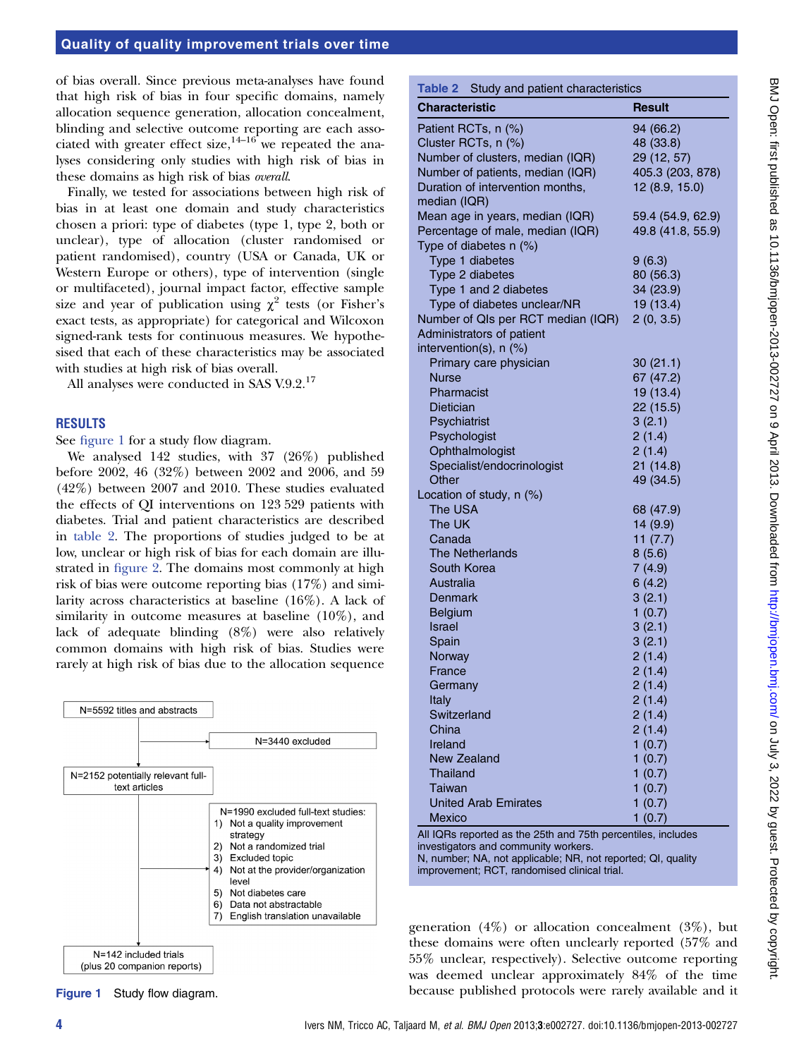of bias overall. Since previous meta-analyses have found that high risk of bias in four specific domains, namely allocation sequence generation, allocation concealment, blinding and selective outcome reporting are each associated with greater effect size,  $14-16$  we repeated the analyses considering only studies with high risk of bias in these domains as high risk of bias overall.

Finally, we tested for associations between high risk of bias in at least one domain and study characteristics chosen a priori: type of diabetes (type 1, type 2, both or unclear), type of allocation (cluster randomised or patient randomised), country (USA or Canada, UK or Western Europe or others), type of intervention (single or multifaceted), journal impact factor, effective sample size and year of publication using  $\chi^2$  tests (or Fisher's exact tests, as appropriate) for categorical and Wilcoxon signed-rank tests for continuous measures. We hypothesised that each of these characteristics may be associated with studies at high risk of bias overall.

All analyses were conducted in SAS V.9.2.<sup>17</sup>

#### RESULTS

See figure 1 for a study flow diagram.

We analysed 142 studies, with 37 (26%) published before 2002, 46 (32%) between 2002 and 2006, and 59 (42%) between 2007 and 2010. These studies evaluated the effects of QI interventions on 123 529 patients with diabetes. Trial and patient characteristics are described in table 2. The proportions of studies judged to be at low, unclear or high risk of bias for each domain are illustrated in figure 2. The domains most commonly at high risk of bias were outcome reporting bias (17%) and similarity across characteristics at baseline (16%). A lack of similarity in outcome measures at baseline (10%), and lack of adequate blinding (8%) were also relatively common domains with high risk of bias. Studies were rarely at high risk of bias due to the allocation sequence



| Table 2 Study and patient characteristics                                                            |                   |  |  |  |  |
|------------------------------------------------------------------------------------------------------|-------------------|--|--|--|--|
| <b>Characteristic</b>                                                                                | <b>Result</b>     |  |  |  |  |
| Patient RCTs, n (%)                                                                                  | 94 (66.2)         |  |  |  |  |
| Cluster RCTs, n (%)                                                                                  | 48 (33.8)         |  |  |  |  |
| Number of clusters, median (IQR)                                                                     | 29 (12, 57)       |  |  |  |  |
| Number of patients, median (IQR)                                                                     | 405.3 (203, 878)  |  |  |  |  |
| Duration of intervention months,                                                                     | 12 (8.9, 15.0)    |  |  |  |  |
| median (IQR)                                                                                         |                   |  |  |  |  |
| Mean age in years, median (IQR)                                                                      | 59.4 (54.9, 62.9) |  |  |  |  |
| Percentage of male, median (IQR)                                                                     | 49.8 (41.8, 55.9) |  |  |  |  |
| Type of diabetes n (%)                                                                               |                   |  |  |  |  |
| Type 1 diabetes                                                                                      | 9(6.3)            |  |  |  |  |
| Type 2 diabetes                                                                                      | 80 (56.3)         |  |  |  |  |
| Type 1 and 2 diabetes                                                                                | 34 (23.9)         |  |  |  |  |
| Type of diabetes unclear/NR                                                                          | 19 (13.4)         |  |  |  |  |
| Number of QIs per RCT median (IQR)                                                                   | 2(0, 3.5)         |  |  |  |  |
| Administrators of patient                                                                            |                   |  |  |  |  |
| intervention(s), n (%)                                                                               |                   |  |  |  |  |
| Primary care physician                                                                               | 30(21.1)          |  |  |  |  |
| <b>Nurse</b>                                                                                         | 67 (47.2)         |  |  |  |  |
| Pharmacist                                                                                           | 19 (13.4)         |  |  |  |  |
| <b>Dietician</b>                                                                                     | 22 (15.5)         |  |  |  |  |
| Psychiatrist                                                                                         | 3(2.1)            |  |  |  |  |
| Psychologist                                                                                         | 2(1.4)            |  |  |  |  |
| Ophthalmologist                                                                                      | 2(1.4)            |  |  |  |  |
| Specialist/endocrinologist                                                                           | 21 (14.8)         |  |  |  |  |
| Other                                                                                                | 49 (34.5)         |  |  |  |  |
| Location of study, n (%)                                                                             |                   |  |  |  |  |
| The USA                                                                                              | 68 (47.9)         |  |  |  |  |
| The UK                                                                                               | 14 (9.9)          |  |  |  |  |
| Canada                                                                                               | 11(7.7)           |  |  |  |  |
| <b>The Netherlands</b>                                                                               | 8(5.6)            |  |  |  |  |
| South Korea                                                                                          | 7(4.9)            |  |  |  |  |
| Australia                                                                                            | 6(4.2)            |  |  |  |  |
| Denmark                                                                                              | 3(2.1)            |  |  |  |  |
| Belgium                                                                                              | 1(0.7)            |  |  |  |  |
| Israel                                                                                               | 3(2.1)            |  |  |  |  |
| Spain                                                                                                | 3(2.1)            |  |  |  |  |
| Norway                                                                                               | 2(1.4)            |  |  |  |  |
| France                                                                                               | 2(1.4)            |  |  |  |  |
| Germany                                                                                              | 2(1.4)            |  |  |  |  |
| Italy                                                                                                | 2(1.4)            |  |  |  |  |
| Switzerland                                                                                          | 2(1.4)            |  |  |  |  |
| China                                                                                                | 2(1.4)            |  |  |  |  |
| Ireland                                                                                              | 1(0.7)            |  |  |  |  |
| <b>New Zealand</b>                                                                                   | 1(0.7)            |  |  |  |  |
| <b>Thailand</b>                                                                                      | 1(0.7)            |  |  |  |  |
| Taiwan                                                                                               | 1(0.7)            |  |  |  |  |
| <b>United Arab Emirates</b>                                                                          | 1(0.7)            |  |  |  |  |
| Mexico                                                                                               | 1(0.7)            |  |  |  |  |
| All IQRs reported as the 25th and 75th percentiles, includes<br>investigators and community workers. |                   |  |  |  |  |

N, number; NA, not applicable; NR, not reported; QI, quality improvement; RCT, randomised clinical trial.

generation  $(4\%)$  or allocation concealment  $(3\%)$ , but these domains were often unclearly reported (57% and 55% unclear, respectively). Selective outcome reporting was deemed unclear approximately 84% of the time Figure 1 Study flow diagram. because published protocols were rarely available and it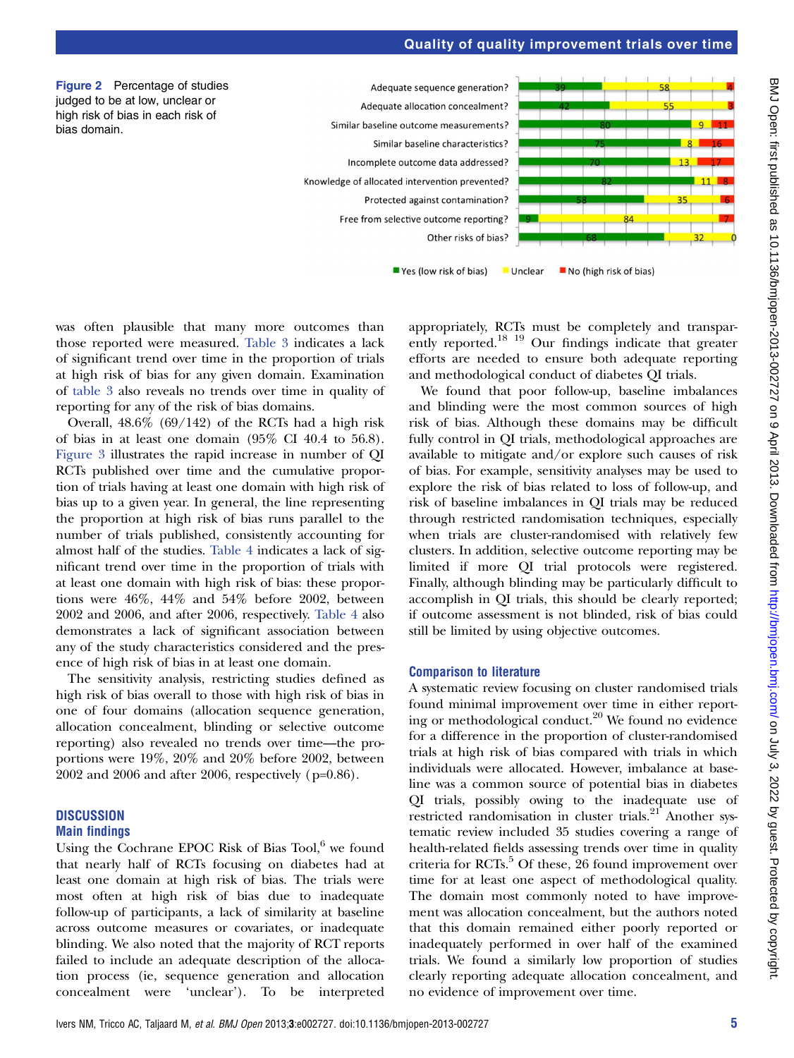Figure 2 Percentage of studies judged to be at low, unclear or high risk of bias in each risk of bias domain.



Yes (low risk of bias) No (high risk of bias) **Unclear** 

was often plausible that many more outcomes than those reported were measured. Table 3 indicates a lack of significant trend over time in the proportion of trials at high risk of bias for any given domain. Examination of table 3 also reveals no trends over time in quality of reporting for any of the risk of bias domains.

Overall, 48.6% (69/142) of the RCTs had a high risk of bias in at least one domain (95% CI 40.4 to 56.8). Figure 3 illustrates the rapid increase in number of QI RCTs published over time and the cumulative proportion of trials having at least one domain with high risk of bias up to a given year. In general, the line representing the proportion at high risk of bias runs parallel to the number of trials published, consistently accounting for almost half of the studies. Table 4 indicates a lack of significant trend over time in the proportion of trials with at least one domain with high risk of bias: these proportions were 46%, 44% and 54% before 2002, between 2002 and 2006, and after 2006, respectively. Table 4 also demonstrates a lack of significant association between any of the study characteristics considered and the presence of high risk of bias in at least one domain.

The sensitivity analysis, restricting studies defined as high risk of bias overall to those with high risk of bias in one of four domains (allocation sequence generation, allocation concealment, blinding or selective outcome reporting) also revealed no trends over time—the proportions were 19%, 20% and 20% before 2002, between 2002 and 2006 and after 2006, respectively (p=0.86).

#### **DISCUSSION** Main findings

Using the Cochrane EPOC Risk of Bias Tool, $6$  we found that nearly half of RCTs focusing on diabetes had at least one domain at high risk of bias. The trials were most often at high risk of bias due to inadequate follow-up of participants, a lack of similarity at baseline across outcome measures or covariates, or inadequate blinding. We also noted that the majority of RCT reports failed to include an adequate description of the allocation process (ie, sequence generation and allocation concealment were 'unclear'). To be interpreted appropriately, RCTs must be completely and transparently reported.<sup>18</sup> <sup>19</sup> Our findings indicate that greater efforts are needed to ensure both adequate reporting and methodological conduct of diabetes QI trials.

We found that poor follow-up, baseline imbalances and blinding were the most common sources of high risk of bias. Although these domains may be difficult fully control in QI trials, methodological approaches are available to mitigate and/or explore such causes of risk of bias. For example, sensitivity analyses may be used to explore the risk of bias related to loss of follow-up, and risk of baseline imbalances in QI trials may be reduced through restricted randomisation techniques, especially when trials are cluster-randomised with relatively few clusters. In addition, selective outcome reporting may be limited if more QI trial protocols were registered. Finally, although blinding may be particularly difficult to accomplish in QI trials, this should be clearly reported; if outcome assessment is not blinded, risk of bias could still be limited by using objective outcomes.

#### Comparison to literature

A systematic review focusing on cluster randomised trials found minimal improvement over time in either reporting or methodological conduct.<sup>20</sup> We found no evidence for a difference in the proportion of cluster-randomised trials at high risk of bias compared with trials in which individuals were allocated. However, imbalance at baseline was a common source of potential bias in diabetes QI trials, possibly owing to the inadequate use of restricted randomisation in cluster trials. $21$  Another systematic review included 35 studies covering a range of health-related fields assessing trends over time in quality criteria for  $RCTs$ .<sup>5</sup> Of these, 26 found improvement over time for at least one aspect of methodological quality. The domain most commonly noted to have improvement was allocation concealment, but the authors noted that this domain remained either poorly reported or inadequately performed in over half of the examined trials. We found a similarly low proportion of studies clearly reporting adequate allocation concealment, and no evidence of improvement over time.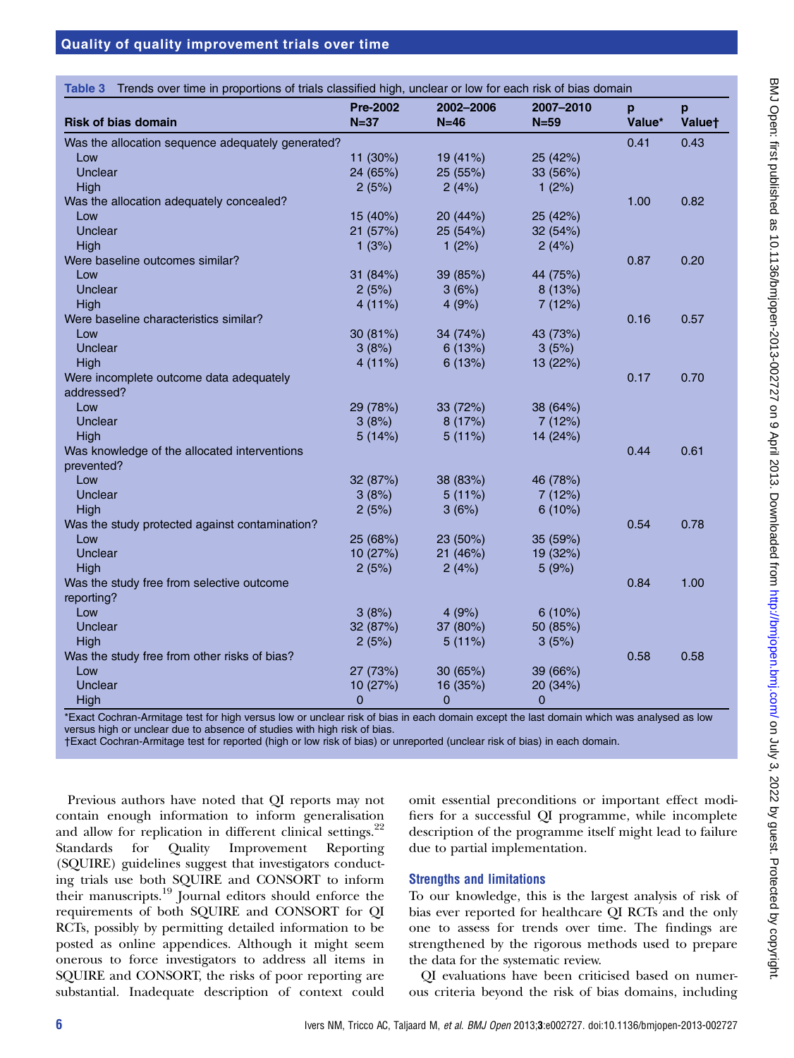| Trends over time in proportions of trials classified high, unclear or low for each risk of bias domain<br>Table 3 |                           |                     |                     |             |             |  |  |  |
|-------------------------------------------------------------------------------------------------------------------|---------------------------|---------------------|---------------------|-------------|-------------|--|--|--|
| <b>Risk of bias domain</b>                                                                                        | <b>Pre-2002</b><br>$N=37$ | 2002-2006<br>$N=46$ | 2007-2010<br>$N=59$ | p<br>Value* | p<br>Valuet |  |  |  |
| Was the allocation sequence adequately generated?                                                                 |                           |                     |                     | 0.41        | 0.43        |  |  |  |
| Low                                                                                                               | 11(30%)                   | 19(41%)             | 25(42%)             |             |             |  |  |  |
| Unclear                                                                                                           | 24 (65%)                  | 25 (55%)            | 33(56%)             |             |             |  |  |  |
| High                                                                                                              | 2(5%)                     | 2(4%)               | 1(2%)               |             |             |  |  |  |
| Was the allocation adequately concealed?                                                                          |                           |                     |                     | 1.00        | 0.82        |  |  |  |
| Low                                                                                                               | 15 (40%)                  | 20 (44%)            | 25 (42%)            |             |             |  |  |  |
| Unclear                                                                                                           |                           | 25 (54%)            |                     |             |             |  |  |  |
|                                                                                                                   | 21(57%)                   |                     | 32(54%)             |             |             |  |  |  |
| High                                                                                                              | 1(3%)                     | 1(2%)               | 2(4%)               |             |             |  |  |  |
| Were baseline outcomes similar?                                                                                   |                           |                     |                     | 0.87        | 0.20        |  |  |  |
| Low                                                                                                               | 31(84%)                   | 39 (85%)            | 44 (75%)            |             |             |  |  |  |
| Unclear                                                                                                           | 2(5%)                     | 3(6%)               | 8(13%)              |             |             |  |  |  |
| High                                                                                                              | 4(11%)                    | 4(9%)               | 7(12%)              |             |             |  |  |  |
| Were baseline characteristics similar?                                                                            |                           |                     |                     | 0.16        | 0.57        |  |  |  |
| Low                                                                                                               | 30(81%)                   | 34 (74%)            | 43 (73%)            |             |             |  |  |  |
| Unclear                                                                                                           | 3(8%)                     | 6(13%)              | 3(5%)               |             |             |  |  |  |
| High                                                                                                              | 4(11%)                    | 6(13%)              | 13 (22%)            |             |             |  |  |  |
| Were incomplete outcome data adequately                                                                           |                           |                     |                     | 0.17        | 0.70        |  |  |  |
| addressed?                                                                                                        |                           |                     |                     |             |             |  |  |  |
| Low                                                                                                               | 29 (78%)                  | 33 (72%)            | 38 (64%)            |             |             |  |  |  |
| Unclear                                                                                                           | 3(8%)                     | 8(17%)              | 7(12%)              |             |             |  |  |  |
| High                                                                                                              | 5(14%)                    | 5(11%)              | 14 (24%)            |             |             |  |  |  |
| Was knowledge of the allocated interventions                                                                      |                           |                     |                     | 0.44        | 0.61        |  |  |  |
| prevented?                                                                                                        |                           |                     |                     |             |             |  |  |  |
| Low                                                                                                               | 32 (87%)                  | 38 (83%)            | 46 (78%)            |             |             |  |  |  |
| Unclear                                                                                                           | 3(8%)                     | 5(11%)              | 7(12%)              |             |             |  |  |  |
| High                                                                                                              | 2(5%)                     | 3(6%)               | 6(10%)              |             |             |  |  |  |
| Was the study protected against contamination?                                                                    |                           |                     |                     | 0.54        | 0.78        |  |  |  |
| Low                                                                                                               | 25 (68%)                  | 23 (50%)            | 35 (59%)            |             |             |  |  |  |
| Unclear                                                                                                           | 10 (27%)                  | 21 (46%)            | 19 (32%)            |             |             |  |  |  |
| High                                                                                                              | 2(5%)                     | 2(4%)               | 5(9%)               |             |             |  |  |  |
| Was the study free from selective outcome                                                                         |                           |                     |                     | 0.84        | 1.00        |  |  |  |
| reporting?                                                                                                        |                           |                     |                     |             |             |  |  |  |
| Low                                                                                                               | 3(8%)                     | 4(9%)               | 6(10%)              |             |             |  |  |  |
| Unclear                                                                                                           | 32(87%)                   | 37 (80%)            | 50 (85%)            |             |             |  |  |  |
| High                                                                                                              | 2(5%)                     | 5(11%)              | 3(5%)               |             |             |  |  |  |
| Was the study free from other risks of bias?                                                                      |                           |                     |                     | 0.58        | 0.58        |  |  |  |
| Low                                                                                                               | 27 (73%)                  | 30(65%)             | 39 (66%)            |             |             |  |  |  |
| Unclear                                                                                                           | 10 (27%)                  | 16 (35%)            | 20 (34%)            |             |             |  |  |  |
| High                                                                                                              | $\overline{0}$            | $\mathbf 0$         | $\overline{0}$      |             |             |  |  |  |

\*Exact Cochran-Armitage test for high versus low or unclear risk of bias in each domain except the last domain which was analysed as low versus high or unclear due to absence of studies with high risk of bias.

†Exact Cochran-Armitage test for reported (high or low risk of bias) or unreported (unclear risk of bias) in each domain.

Previous authors have noted that QI reports may not contain enough information to inform generalisation and allow for replication in different clinical settings.<sup>22</sup> Standards for Quality Improvement Reporting (SQUIRE) guidelines suggest that investigators conducting trials use both SQUIRE and CONSORT to inform their manuscripts.<sup>19</sup> Journal editors should enforce the requirements of both SQUIRE and CONSORT for QI RCTs, possibly by permitting detailed information to be posted as online appendices. Although it might seem onerous to force investigators to address all items in SQUIRE and CONSORT, the risks of poor reporting are substantial. Inadequate description of context could omit essential preconditions or important effect modifiers for a successful QI programme, while incomplete description of the programme itself might lead to failure due to partial implementation.

## Strengths and limitations

To our knowledge, this is the largest analysis of risk of bias ever reported for healthcare QI RCTs and the only one to assess for trends over time. The findings are strengthened by the rigorous methods used to prepare the data for the systematic review.

QI evaluations have been criticised based on numerous criteria beyond the risk of bias domains, including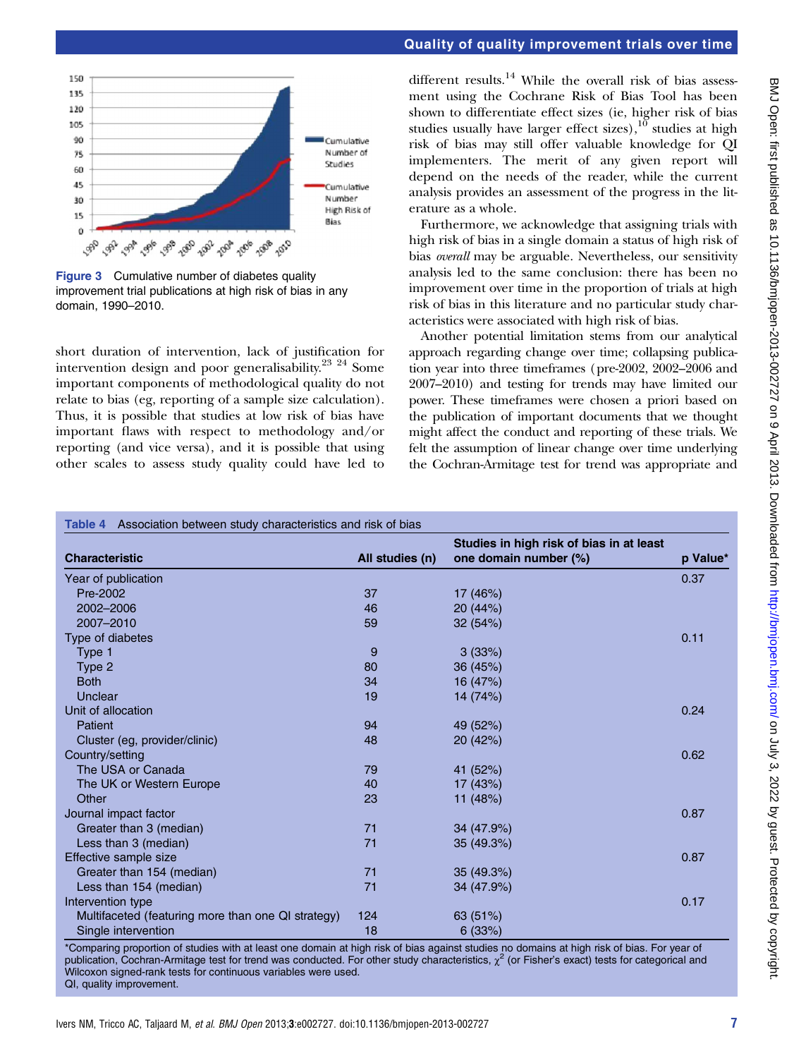

Figure 3 Cumulative number of diabetes quality improvement trial publications at high risk of bias in any domain, 1990–2010.

short duration of intervention, lack of justification for intervention design and poor generalisability.<sup>23 24</sup> Some important components of methodological quality do not relate to bias (eg, reporting of a sample size calculation). Thus, it is possible that studies at low risk of bias have important flaws with respect to methodology and/or reporting (and vice versa), and it is possible that using other scales to assess study quality could have led to

## Quality of quality improvement trials over time

different results.<sup>14</sup> While the overall risk of bias assessment using the Cochrane Risk of Bias Tool has been shown to differentiate effect sizes (ie, higher risk of bias studies usually have larger effect sizes),  $10$  studies at high risk of bias may still offer valuable knowledge for QI implementers. The merit of any given report will depend on the needs of the reader, while the current analysis provides an assessment of the progress in the literature as a whole.

Furthermore, we acknowledge that assigning trials with high risk of bias in a single domain a status of high risk of bias overall may be arguable. Nevertheless, our sensitivity analysis led to the same conclusion: there has been no improvement over time in the proportion of trials at high risk of bias in this literature and no particular study characteristics were associated with high risk of bias.

Another potential limitation stems from our analytical approach regarding change over time; collapsing publication year into three timeframes (pre-2002, 2002–2006 and 2007–2010) and testing for trends may have limited our power. These timeframes were chosen a priori based on the publication of important documents that we thought might affect the conduct and reporting of these trials. We felt the assumption of linear change over time underlying the Cochran-Armitage test for trend was appropriate and

|                                                    |                 | Studies in high risk of bias in at least | p Value' |
|----------------------------------------------------|-----------------|------------------------------------------|----------|
| <b>Characteristic</b>                              | All studies (n) | one domain number (%)                    |          |
| Year of publication                                |                 |                                          | 0.37     |
| Pre-2002                                           | 37              | 17 (46%)                                 |          |
| 2002-2006                                          | 46              | 20(44%)                                  |          |
| 2007-2010                                          | 59              | 32 (54%)                                 |          |
| Type of diabetes                                   |                 |                                          | 0.11     |
| Type 1                                             | 9               | 3(33%)                                   |          |
| Type 2                                             | 80              | 36 (45%)                                 |          |
| <b>Both</b>                                        | 34              | 16 (47%)                                 |          |
| Unclear                                            | 19              | 14 (74%)                                 |          |
| Unit of allocation                                 |                 |                                          | 0.24     |
| <b>Patient</b>                                     | 94              | 49 (52%)                                 |          |
| Cluster (eg, provider/clinic)                      | 48              | 20(42%)                                  |          |
| Country/setting                                    |                 |                                          | 0.62     |
| The USA or Canada                                  | 79              | 41 (52%)                                 |          |
| The UK or Western Europe                           | 40              | 17 (43%)                                 |          |
| Other                                              | 23              | 11 (48%)                                 |          |
| Journal impact factor                              |                 |                                          | 0.87     |
| Greater than 3 (median)                            | 71              | 34 (47.9%)                               |          |
| Less than 3 (median)                               | 71              | 35 (49.3%)                               |          |
| Effective sample size                              |                 |                                          | 0.87     |
| Greater than 154 (median)                          | 71              | 35(49.3%)                                |          |
| Less than 154 (median)                             | 71              | 34 (47.9%)                               |          |
| Intervention type                                  |                 |                                          | 0.17     |
| Multifaceted (featuring more than one QI strategy) | 124             | 63 (51%)                                 |          |
| Single intervention                                | 18              | 6(33%)                                   |          |

\*Comparing proportion of studies with at least one domain at high risk of bias against studies no domains at high risk of bias. For year of publication, Cochran-Armitage test for trend was conducted. For other study characteristics,  $\chi^2$  (or Fisher's exact) tests for categorical and Wilcoxon signed-rank tests for continuous variables were used. QI, quality improvement.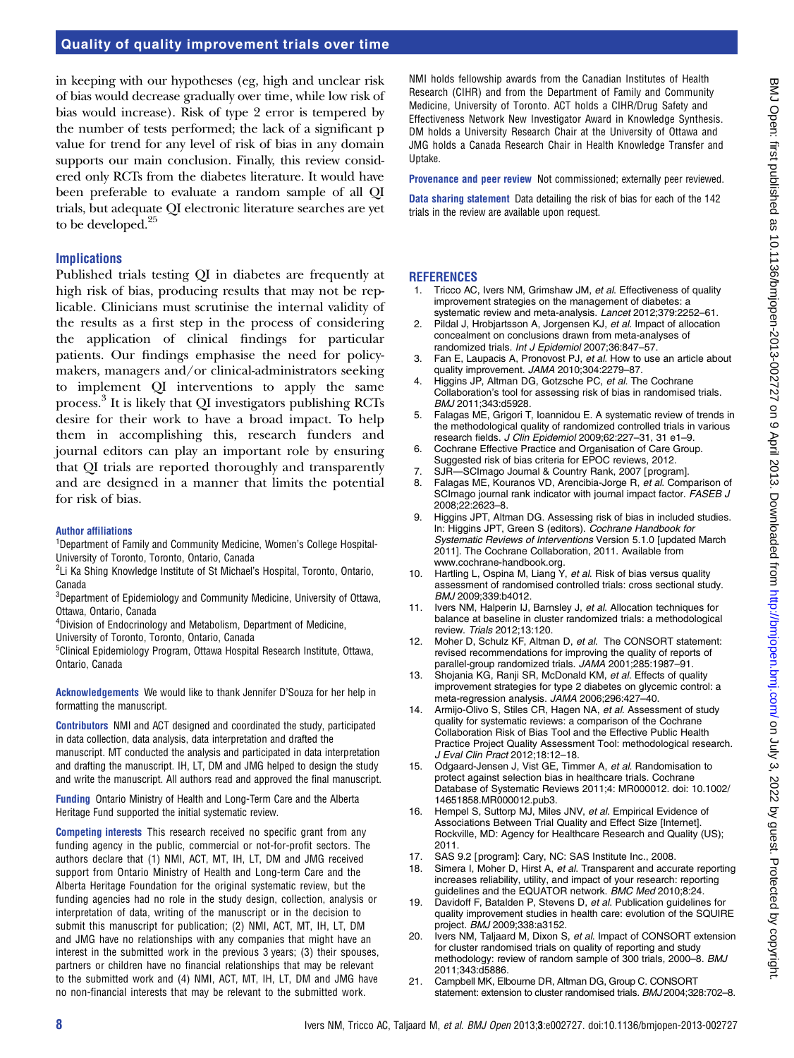in keeping with our hypotheses (eg, high and unclear risk of bias would decrease gradually over time, while low risk of bias would increase). Risk of type 2 error is tempered by the number of tests performed; the lack of a significant p value for trend for any level of risk of bias in any domain supports our main conclusion. Finally, this review considered only RCTs from the diabetes literature. It would have been preferable to evaluate a random sample of all QI trials, but adequate QI electronic literature searches are yet to be developed.25

#### **Implications**

Published trials testing QI in diabetes are frequently at high risk of bias, producing results that may not be replicable. Clinicians must scrutinise the internal validity of the results as a first step in the process of considering the application of clinical findings for particular patients. Our findings emphasise the need for policymakers, managers and/or clinical-administrators seeking to implement QI interventions to apply the same process. <sup>3</sup> It is likely that QI investigators publishing RCTs desire for their work to have a broad impact. To help them in accomplishing this, research funders and journal editors can play an important role by ensuring that QI trials are reported thoroughly and transparently and are designed in a manner that limits the potential for risk of bias.

#### Author affiliations

<sup>1</sup>Department of Family and Community Medicine, Women's College Hospital-University of Toronto, Toronto, Ontario, Canada

<sup>2</sup>Li Ka Shing Knowledge Institute of St Michael's Hospital, Toronto, Ontario, Canada

 ${}^{3}$ Department of Epidemiology and Community Medicine, University of Ottawa, Ottawa, Ontario, Canada

<sup>4</sup>Division of Endocrinology and Metabolism, Department of Medicine,

University of Toronto, Toronto, Ontario, Canada

<sup>5</sup>Clinical Epidemiology Program, Ottawa Hospital Research Institute, Ottawa, Ontario, Canada

Acknowledgements We would like to thank Jennifer D'Souza for her help in formatting the manuscript.

Contributors NMI and ACT designed and coordinated the study, participated in data collection, data analysis, data interpretation and drafted the manuscript. MT conducted the analysis and participated in data interpretation and drafting the manuscript. IH, LT, DM and JMG helped to design the study and write the manuscript. All authors read and approved the final manuscript.

Funding Ontario Ministry of Health and Long-Term Care and the Alberta Heritage Fund supported the initial systematic review.

Competing interests This research received no specific grant from any funding agency in the public, commercial or not-for-profit sectors. The authors declare that (1) NMI, ACT, MT, IH, LT, DM and JMG received support from Ontario Ministry of Health and Long-term Care and the Alberta Heritage Foundation for the original systematic review, but the funding agencies had no role in the study design, collection, analysis or interpretation of data, writing of the manuscript or in the decision to submit this manuscript for publication; (2) NMI, ACT, MT, IH, LT, DM and JMG have no relationships with any companies that might have an interest in the submitted work in the previous 3 years; (3) their spouses, partners or children have no financial relationships that may be relevant to the submitted work and (4) NMI, ACT, MT, IH, LT, DM and JMG have no non-financial interests that may be relevant to the submitted work.

NMI holds fellowship awards from the Canadian Institutes of Health Research (CIHR) and from the Department of Family and Community Medicine, University of Toronto. ACT holds a CIHR/Drug Safety and Effectiveness Network New Investigator Award in Knowledge Synthesis. DM holds a University Research Chair at the University of Ottawa and JMG holds a Canada Research Chair in Health Knowledge Transfer and Uptake.

Provenance and peer review Not commissioned; externally peer reviewed.

Data sharing statement Data detailing the risk of bias for each of the 142 trials in the review are available upon request.

#### **REFERENCES**

- Tricco AC, Ivers NM, Grimshaw JM, et al. Effectiveness of quality improvement strategies on the management of diabetes: a systematic review and meta-analysis. Lancet 2012;379:2252–61.
- 2. Pildal J, Hrobjartsson A, Jorgensen KJ, et al. Impact of allocation concealment on conclusions drawn from meta-analyses of randomized trials. Int J Epidemiol 2007;36:847-57.
- Fan E, Laupacis A, Pronovost PJ, et al. How to use an article about quality improvement. JAMA 2010;304:2279–87.
- 4. Higgins JP, Altman DG, Gotzsche PC, et al. The Cochrane Collaboration's tool for assessing risk of bias in randomised trials. BMJ 2011;343:d5928.
- 5. Falagas ME, Grigori T, Ioannidou E. A systematic review of trends in the methodological quality of randomized controlled trials in various research fields. J Clin Epidemiol 2009;62:227–31, 31 e1–9.
- 6. Cochrane Effective Practice and Organisation of Care Group. Suggested risk of bias criteria for EPOC reviews, 2012.
- SJR-SCImago Journal & Country Rank, 2007 [program].
- 8. Falagas ME, Kouranos VD, Arencibia-Jorge R, et al. Comparison of SCImago journal rank indicator with journal impact factor. FASEB J 2008;22:2623–8.
- 9. Higgins JPT, Altman DG. Assessing risk of bias in included studies. In: Higgins JPT, Green S (editors). Cochrane Handbook for Systematic Reviews of Interventions Version 5.1.0 [updated March 2011]. The Cochrane Collaboration, 2011. Available from www.cochrane-handbook.org.
- 10. Hartling L, Ospina M, Liang Y, et al. Risk of bias versus quality assessment of randomised controlled trials: cross sectional study. BMJ 2009;339:b4012.
- 11. Ivers NM, Halperin IJ, Barnsley J, et al. Allocation techniques for balance at baseline in cluster randomized trials: a methodological review. Trials 2012;13:120.
- 12. Moher D, Schulz KF, Altman D, et al. The CONSORT statement: revised recommendations for improving the quality of reports of parallel-group randomized trials. JAMA 2001;285:1987–91.
- 13. Shojania KG, Ranji SR, McDonald KM, et al. Effects of quality improvement strategies for type 2 diabetes on glycemic control: a meta-regression analysis. JAMA 2006;296:427–40.
- 14. Armijo-Olivo S, Stiles CR, Hagen NA, et al. Assessment of study quality for systematic reviews: a comparison of the Cochrane Collaboration Risk of Bias Tool and the Effective Public Health Practice Project Quality Assessment Tool: methodological research. J Eval Clin Pract 2012;18:12–18.
- 15. Odgaard-Jensen J, Vist GE, Timmer A, et al. Randomisation to protect against selection bias in healthcare trials. Cochrane Database of Systematic Reviews 2011;4: MR000012. doi: 10.1002/ 14651858.MR000012.pub3.
- 16. Hempel S, Suttorp MJ, Miles JNV, et al. Empirical Evidence of Associations Between Trial Quality and Effect Size [Internet]. Rockville, MD: Agency for Healthcare Research and Quality (US); 2011.
- 17. SAS 9.2 [program]: Cary, NC: SAS Institute Inc., 2008.
- 18. Simera I, Moher D, Hirst A, et al. Transparent and accurate reporting increases reliability, utility, and impact of your research: reporting guidelines and the EQUATOR network. BMC Med 2010;8:24.
- 19. Davidoff F, Batalden P, Stevens D, et al. Publication guidelines for quality improvement studies in health care: evolution of the SQUIRE project. BMJ 2009;338:a3152.
- 20. Ivers NM, Taljaard M, Dixon S, et al. Impact of CONSORT extension for cluster randomised trials on quality of reporting and study methodology: review of random sample of 300 trials, 2000–8. BMJ 2011;343:d5886.
- 21. Campbell MK, Elbourne DR, Altman DG, Group C. CONSORT statement: extension to cluster randomised trials. BMJ 2004;328:702–8.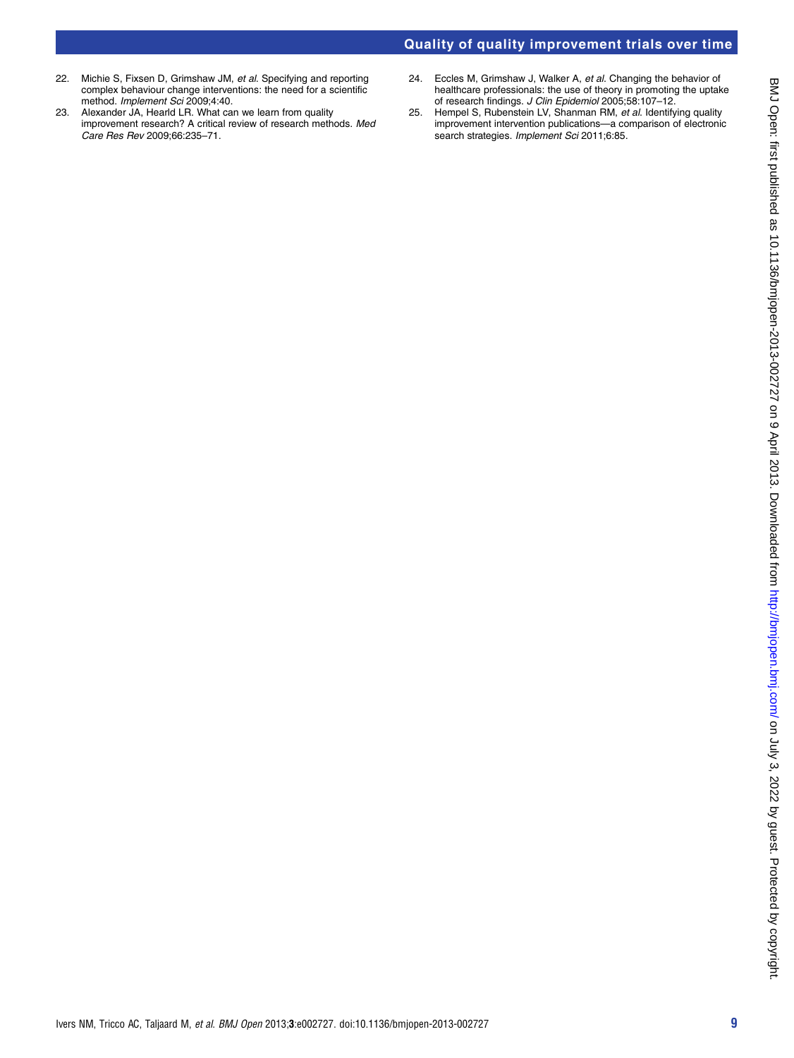- 22. Michie S, Fixsen D, Grimshaw JM, et al. Specifying and reporting complex behaviour change interventions: the need for a scientific method. Implement Sci 2009;4:40.
- 23. Alexander JA, Hearld LR. What can we learn from quality improvement research? A critical review of research methods. Med Care Res Rev 2009;66:235–71.
- 24. Eccles M, Grimshaw J, Walker A, et al. Changing the behavior of healthcare professionals: the use of theory in promoting the uptake of research findings. J Clin Epidemiol 2005;58:107–12.
- 25. Hempel S, Rubenstein LV, Shanman RM, et al. Identifying quality improvement intervention publications—a comparison of electronic search strategies. Implement Sci 2011;6:85.